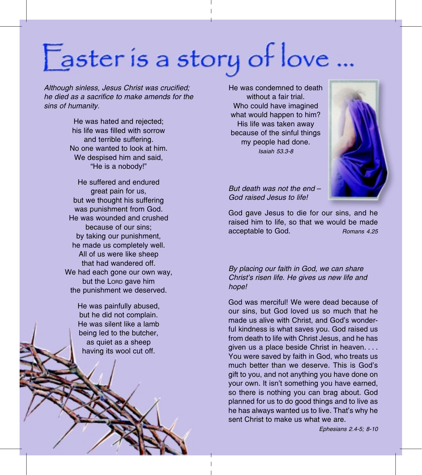## Easter is a story of love ...

Although sinless, Jesus Christ was crucified; he died as a sacrifice to make amends for the sins of humanity.

> He was hated and rejected; his life was filled with sorrow and terrible suffering. No one wanted to look at him. We despised him and said. "He is a nobody!"

He suffered and endured great pain for us. but we thought his suffering was punishment from God. He was wounded and crushed because of our sins: by taking our punishment, he made us completely well. All of us were like sheep that had wandered off. We had each gone our own way, but the LORD gave him the punishment we deserved.

> He was painfully abused, but he did not complain. He was silent like a lamb being led to the butcher, as quiet as a sheep having its wool cut off.

He was condemned to death without a fair trial. Who could have imagined what would happen to him? His life was taken away because of the sinful things my people had done. **Isaiah 53.3-8** 



But death was not the end -God raised Jesus to life!

God gave Jesus to die for our sins, and he raised him to life, so that we would be made acceptable to God. Romans 4.25

By placing our faith in God, we can share Christ's risen life. He gives us new life and hope!

God was mercifull We were dead because of our sins, but God loved us so much that he made us alive with Christ, and God's wonderful kindness is what saves you. God raised us from death to life with Christ Jesus, and he has given us a place beside Christ in heaven.... You were saved by faith in God, who treats us much better than we deserve. This is God's gift to you, and not anything you have done on your own. It isn't something you have earned, so there is nothing you can brag about. God planned for us to do good things and to live as he has always wanted us to live. That's why he sent Christ to make us what we are.

Ephesians 2.4-5: 8-10